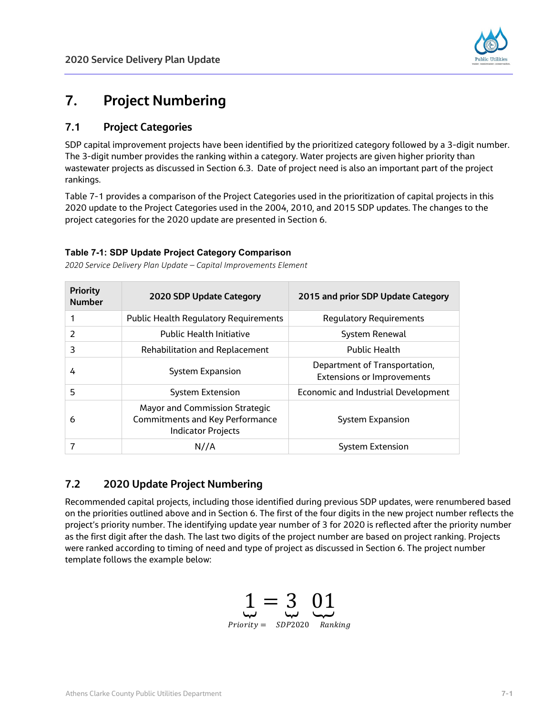

# **7. Project Numbering**

## **7.1 Project Categories**

SDP capital improvement projects have been identified by the prioritized category followed by a 3-digit number. The 3-digit number provides the ranking within a category. Water projects are given higher priority than wastewater projects as discussed in Section 6.3. Date of project need is also an important part of the project rankings.

Table 7-1 provides a comparison of the Project Categories used in the prioritization of capital projects in this 2020 update to the Project Categories used in the 2004, 2010, and 2015 SDP updates. The changes to the project categories for the 2020 update are presented in Section 6.

### **Table 7-1: SDP Update Project Category Comparison**

*2020 Service Delivery Plan Update – Capital Improvements Element*

| <b>Priority</b><br><b>Number</b> | 2020 SDP Update Category                                                                                     | 2015 and prior SDP Update Category                                 |
|----------------------------------|--------------------------------------------------------------------------------------------------------------|--------------------------------------------------------------------|
|                                  | <b>Public Health Regulatory Requirements</b>                                                                 | <b>Regulatory Requirements</b>                                     |
| 2                                | <b>Public Health Initiative</b>                                                                              | <b>System Renewal</b>                                              |
| 3                                | <b>Rehabilitation and Replacement</b>                                                                        | <b>Public Health</b>                                               |
| 4                                | System Expansion                                                                                             | Department of Transportation,<br><b>Extensions or Improvements</b> |
| 5                                | <b>System Extension</b>                                                                                      | <b>Economic and Industrial Development</b>                         |
| 6                                | <b>Mayor and Commission Strategic</b><br><b>Commitments and Key Performance</b><br><b>Indicator Projects</b> | System Expansion                                                   |
|                                  | N//A                                                                                                         | System Extension                                                   |

# **7.2 2020 Update Project Numbering**

Recommended capital projects, including those identified during previous SDP updates, were renumbered based on the priorities outlined above and in Section 6. The first of the four digits in the new project number reflects the project's priority number. The identifying update year number of 3 for 2020 is reflected after the priority number as the first digit after the dash. The last two digits of the project number are based on project ranking. Projects were ranked according to timing of need and type of project as discussed in Section 6. The project number template follows the example below:

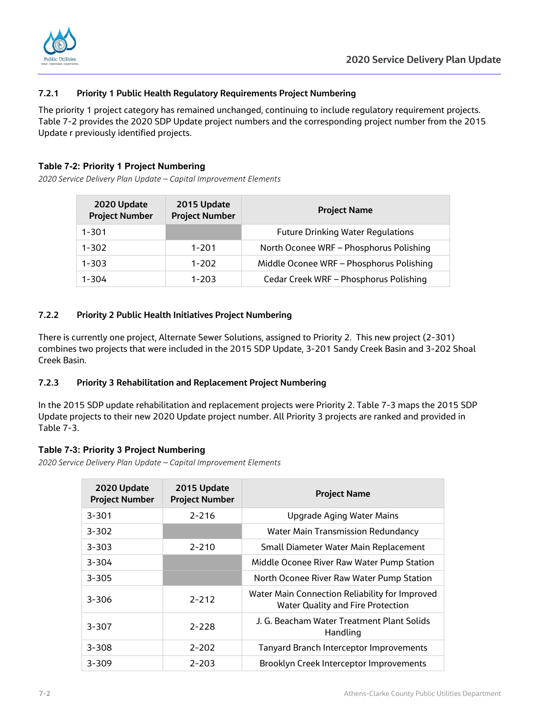



#### **7.2.1 Priority 1 Public Health Regulatory Requirements Project Numbering**

The priority 1 project category has remained unchanged, continuing to include regulatory requirement projects. Table 7-2 provides the 2020 SDP Update project numbers and the corresponding project number from the 2015 Update r previously identified projects.

#### **Table 7-2: Priority 1 Project Numbering**

*2020 Service Delivery Plan Update – Capital Improvement Elements*

| 2020 Update<br><b>Project Number</b> | 2015 Update<br><b>Project Number</b> | <b>Project Name</b>                      |
|--------------------------------------|--------------------------------------|------------------------------------------|
| $1 - 301$                            |                                      | <b>Future Drinking Water Regulations</b> |
| $1 - 302$                            | $1 - 201$                            | North Oconee WRF - Phosphorus Polishing  |
| $1 - 303$                            | $1 - 202$                            | Middle Oconee WRF - Phosphorus Polishing |
| $1 - 304$                            | $1 - 203$                            | Cedar Creek WRF - Phosphorus Polishing   |

#### **7.2.2 Priority 2 Public Health Initiatives Project Numbering**

There is currently one project, Alternate Sewer Solutions, assigned to Priority 2. This new project (2-301) combines two projects that were included in the 2015 SDP Update, 3-201 Sandy Creek Basin and 3-202 Shoal Creek Basin.

#### **7.2.3 Priority 3 Rehabilitation and Replacement Project Numbering**

In the 2015 SDP update rehabilitation and replacement projects were Priority 2. Table 7-3 maps the 2015 SDP Update projects to their new 2020 Update project number. All Priority 3 projects are ranked and provided in Table 7-3.

#### **Table 7-3: Priority 3 Project Numbering**

*2020 Service Delivery Plan Update – Capital Improvement Elements*

| 2020 Update<br><b>Project Number</b> | 2015 Update<br><b>Project Number</b> | <b>Project Name</b>                                                                        |
|--------------------------------------|--------------------------------------|--------------------------------------------------------------------------------------------|
| $3 - 301$                            | $2 - 216$                            | Upgrade Aging Water Mains                                                                  |
| $3 - 302$                            |                                      | <b>Water Main Transmission Redundancy</b>                                                  |
| $3 - 303$                            | $2 - 210$                            | Small Diameter Water Main Replacement                                                      |
| $3 - 304$                            |                                      | Middle Oconee River Raw Water Pump Station                                                 |
| $3 - 305$                            |                                      | North Oconee River Raw Water Pump Station                                                  |
| $3 - 306$                            | $2 - 212$                            | Water Main Connection Reliability for Improved<br><b>Water Quality and Fire Protection</b> |
| $3 - 307$                            | $2 - 228$                            | J. G. Beacham Water Treatment Plant Solids<br>Handling                                     |
| $3 - 308$                            | $2 - 202$                            | <b>Tanyard Branch Interceptor Improvements</b>                                             |
| $3 - 309$                            | $2 - 203$                            | Brooklyn Creek Interceptor Improvements                                                    |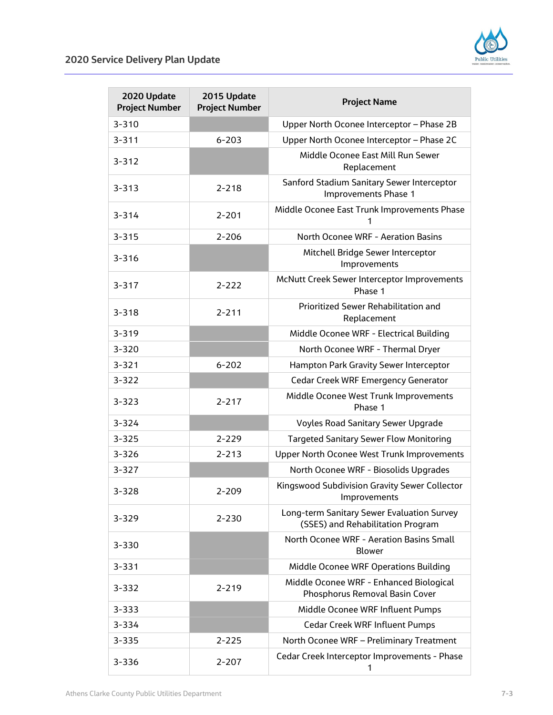

| 2020 Update<br><b>Project Number</b> | 2015 Update<br><b>Project Number</b> | <b>Project Name</b>                                                             |
|--------------------------------------|--------------------------------------|---------------------------------------------------------------------------------|
| $3 - 310$                            |                                      | Upper North Oconee Interceptor - Phase 2B                                       |
| $3 - 311$                            | $6 - 203$                            | Upper North Oconee Interceptor - Phase 2C                                       |
| $3 - 312$                            |                                      | Middle Oconee East Mill Run Sewer<br>Replacement                                |
| $3 - 313$                            | $2 - 218$                            | Sanford Stadium Sanitary Sewer Interceptor<br>Improvements Phase 1              |
| $3 - 314$                            | $2 - 201$                            | Middle Oconee East Trunk Improvements Phase                                     |
| $3 - 315$                            | $2 - 206$                            | North Oconee WRF - Aeration Basins                                              |
| $3 - 316$                            |                                      | Mitchell Bridge Sewer Interceptor<br>Improvements                               |
| $3 - 317$                            | $2 - 222$                            | McNutt Creek Sewer Interceptor Improvements<br>Phase 1                          |
| $3 - 318$                            | $2 - 211$                            | Prioritized Sewer Rehabilitation and<br>Replacement                             |
| $3 - 319$                            |                                      | Middle Oconee WRF - Electrical Building                                         |
| $3 - 320$                            |                                      | North Oconee WRF - Thermal Dryer                                                |
| $3 - 321$                            | $6 - 202$                            | Hampton Park Gravity Sewer Interceptor                                          |
| $3 - 322$                            |                                      | <b>Cedar Creek WRF Emergency Generator</b>                                      |
| $3 - 323$                            | $2 - 217$                            | Middle Oconee West Trunk Improvements<br>Phase 1                                |
| $3 - 324$                            |                                      | <b>Voyles Road Sanitary Sewer Upgrade</b>                                       |
| $3 - 325$                            | $2 - 229$                            | <b>Targeted Sanitary Sewer Flow Monitoring</b>                                  |
| $3 - 326$                            | $2 - 213$                            | Upper North Oconee West Trunk Improvements                                      |
| $3 - 327$                            |                                      | North Oconee WRF - Biosolids Upgrades                                           |
| 3-328                                | 2-209                                | Kingswood Subdivision Gravity Sewer Collector<br>Improvements                   |
| 3-329                                | $2 - 230$                            | Long-term Sanitary Sewer Evaluation Survey<br>(SSES) and Rehabilitation Program |
| $3 - 330$                            |                                      | North Oconee WRF - Aeration Basins Small<br><b>Blower</b>                       |
| $3 - 331$                            |                                      | Middle Oconee WRF Operations Building                                           |
| 3-332                                | $2 - 219$                            | Middle Oconee WRF - Enhanced Biological<br>Phosphorus Removal Basin Cover       |
| $3 - 333$                            |                                      | Middle Oconee WRF Influent Pumps                                                |
| 3-334                                |                                      | <b>Cedar Creek WRF Influent Pumps</b>                                           |
| $3 - 335$                            | $2 - 225$                            | North Oconee WRF - Preliminary Treatment                                        |
| 3-336                                | $2 - 207$                            | Cedar Creek Interceptor Improvements - Phase<br>1                               |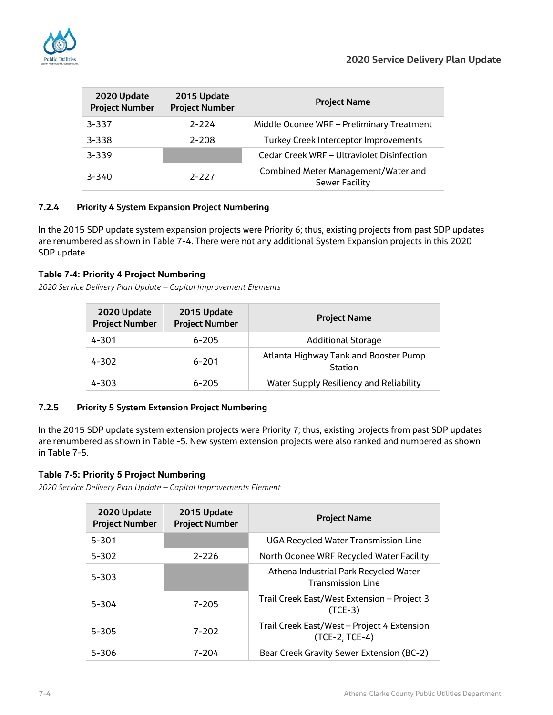

| 2020 Update<br><b>Project Number</b> | 2015 Update<br><b>Project Number</b> | <b>Project Name</b>                                          |
|--------------------------------------|--------------------------------------|--------------------------------------------------------------|
| $3 - 337$                            | $2 - 224$                            | Middle Oconee WRF - Preliminary Treatment                    |
| $3 - 338$                            | $2 - 208$                            | Turkey Creek Interceptor Improvements                        |
| $3 - 339$                            |                                      | Cedar Creek WRF - Ultraviolet Disinfection                   |
| $3 - 340$                            | $2 - 227$                            | Combined Meter Management/Water and<br><b>Sewer Facility</b> |

#### **7.2.4 Priority 4 System Expansion Project Numbering**

In the 2015 SDP update system expansion projects were Priority 6; thus, existing projects from past SDP updates are renumbered as shown in Table 7-4. There were not any additional System Expansion projects in this 2020 SDP update.

#### **Table 7-4: Priority 4 Project Numbering**

*2020 Service Delivery Plan Update – Capital Improvement Elements*

| 2020 Update<br><b>Project Number</b> | 2015 Update<br><b>Project Number</b> | <b>Project Name</b>                              |
|--------------------------------------|--------------------------------------|--------------------------------------------------|
| $4 - 301$                            | $6 - 205$                            | <b>Additional Storage</b>                        |
| $4 - 302$                            | $6 - 201$                            | Atlanta Highway Tank and Booster Pump<br>Station |
| $4 - 303$                            | $6 - 205$                            | Water Supply Resiliency and Reliability          |

#### **7.2.5 Priority 5 System Extension Project Numbering**

In the 2015 SDP update system extension projects were Priority 7; thus, existing projects from past SDP updates are renumbered as shown in Table -5. New system extension projects were also ranked and numbered as shown in Table 7-5.

#### **Table 7-5: Priority 5 Project Numbering**

*2020 Service Delivery Plan Update – Capital Improvements Element*

| 2020 Update<br><b>Project Number</b> | 2015 Update<br><b>Project Number</b> | <b>Project Name</b>                                               |
|--------------------------------------|--------------------------------------|-------------------------------------------------------------------|
| $5 - 301$                            |                                      | <b>UGA Recycled Water Transmission Line</b>                       |
| $5 - 302$                            | $2 - 226$                            | North Oconee WRF Recycled Water Facility                          |
| $5 - 303$                            |                                      | Athena Industrial Park Recycled Water<br><b>Transmission Line</b> |
| $5 - 304$                            | $7 - 205$                            | Trail Creek East/West Extension – Project 3<br>$(TCE-3)$          |
| $5 - 305$                            | $7 - 202$                            | Trail Creek East/West - Project 4 Extension<br>$(TCE-2, TCE-4)$   |
| $5 - 306$                            | $7 - 204$                            | Bear Creek Gravity Sewer Extension (BC-2)                         |